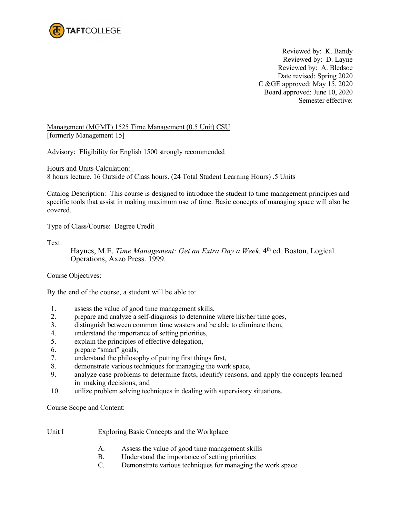

Reviewed by: K. Bandy Reviewed by: D. Layne Reviewed by: A. Bledsoe Date revised: Spring 2020 C &GE approved: May 15, 2020 Board approved: June 10, 2020 Semester effective:

Management (MGMT) 1525 Time Management (0.5 Unit) CSU [formerly Management 15]

Advisory: Eligibility for English 1500 strongly recommended

Hours and Units Calculation: 8 hours lecture. 16 Outside of Class hours. (24 Total Student Learning Hours) .5 Units

Catalog Description: This course is designed to introduce the student to time management principles and specific tools that assist in making maximum use of time. Basic concepts of managing space will also be covered.

Type of Class/Course: Degree Credit

Text:

Haynes, M.E. *Time Management: Get an Extra Day a Week*. 4<sup>th</sup> ed. Boston, Logical Operations, Axzo Press. 1999.

Course Objectives:

By the end of the course, a student will be able to:

- 1. assess the value of good time management skills,
- 2. prepare and analyze a self-diagnosis to determine where his/her time goes,
- 3. distinguish between common time wasters and be able to eliminate them,
- 4. understand the importance of setting priorities,
- 5. explain the principles of effective delegation,
- 6. prepare "smart" goals,
- 7. understand the philosophy of putting first things first,
- 8. demonstrate various techniques for managing the work space,
- 9. analyze case problems to determine facts, identify reasons, and apply the concepts learned in making decisions, and
- 10. utilize problem solving techniques in dealing with supervisory situations.

Course Scope and Content:

- Unit I Exploring Basic Concepts and the Workplace
	- A. Assess the value of good time management skills
	- B. Understand the importance of setting priorities
	- C. Demonstrate various techniques for managing the work space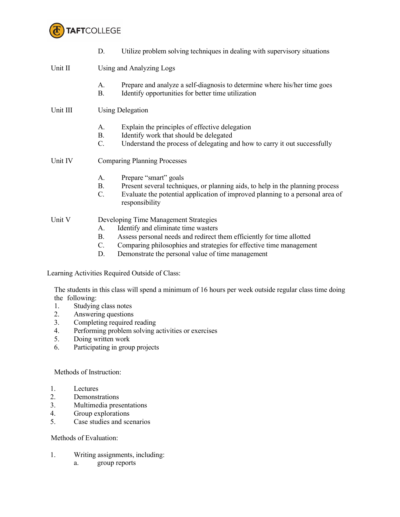

|          | Utilize problem solving techniques in dealing with supervisory situations<br>D.                                                                                                         |  |  |  |
|----------|-----------------------------------------------------------------------------------------------------------------------------------------------------------------------------------------|--|--|--|
| Unit II  | Using and Analyzing Logs                                                                                                                                                                |  |  |  |
|          | Prepare and analyze a self-diagnosis to determine where his/her time goes<br>A.<br>В.<br>Identify opportunities for better time utilization                                             |  |  |  |
| Unit III | <b>Using Delegation</b>                                                                                                                                                                 |  |  |  |
|          | Explain the principles of effective delegation<br>Α.<br>B.<br>Identify work that should be delegated<br>C.<br>Understand the process of delegating and how to carry it out successfully |  |  |  |
| Unit IV  | <b>Comparing Planning Processes</b>                                                                                                                                                     |  |  |  |
|          | Prepare "smart" goals<br>А.<br>Present several techniques, or planning aids, to help in the planning process<br>B.<br>$\mathbf{r}$ and $\mathbf{r}$ and $\mathbf{r}$ and $\mathbf{r}$   |  |  |  |

C. Evaluate the potential application of improved planning to a personal area of responsibility

## Unit V Developing Time Management Strategies

- A. Identify and eliminate time wasters
- B. Assess personal needs and redirect them efficiently for time allotted
- C. Comparing philosophies and strategies for effective time management
- D. Demonstrate the personal value of time management

Learning Activities Required Outside of Class:

The students in this class will spend a minimum of 16 hours per week outside regular class time doing the following:

- 1. Studying class notes
- 2. Answering questions
- 3. Completing required reading
- 4. Performing problem solving activities or exercises
- 5. Doing written work
- 6. Participating in group projects

Methods of Instruction:

- 1. Lectures
- 2. Demonstrations
- 3. Multimedia presentations<br>4. Group explorations
- Group explorations
- 5. Case studies and scenarios

## Methods of Evaluation:

- 1. Writing assignments, including:
	- a. group reports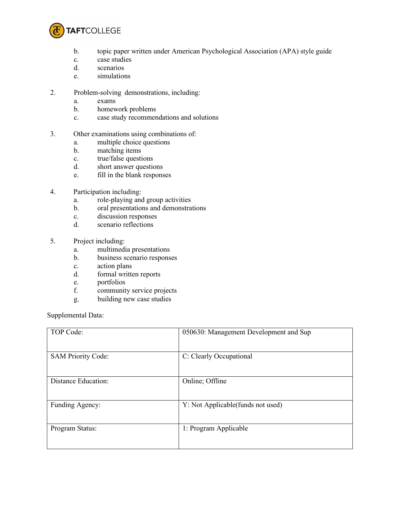

- b. topic paper written under American Psychological Association (APA) style guide
- c. case studies
- d. scenarios
- e. simulations
- 2. Problem-solving demonstrations, including:
	- a. exams
	- b. homework problems
	- c. case study recommendations and solutions
- 3. Other examinations using combinations of:
	- a. multiple choice questions
	- b. matching items
	- c. true/false questions
	- d. short answer questions
	- e. fill in the blank responses
- 4. Participation including:
	- a. role-playing and group activities
	- b. oral presentations and demonstrations
	- c. discussion responses
	- d. scenario reflections
- 5. Project including:
	- a. multimedia presentations
	- b. business scenario responses
	- c. action plans
	- d. formal written reports
	- e. portfolios
	- f. community service projects
	- g. building new case studies

Supplemental Data:

| TOP Code:                 | 050630: Management Development and Sup |
|---------------------------|----------------------------------------|
| <b>SAM Priority Code:</b> | C: Clearly Occupational                |
| Distance Education:       | Online; Offline                        |
| Funding Agency:           | Y: Not Applicable (funds not used)     |
| Program Status:           | 1: Program Applicable                  |